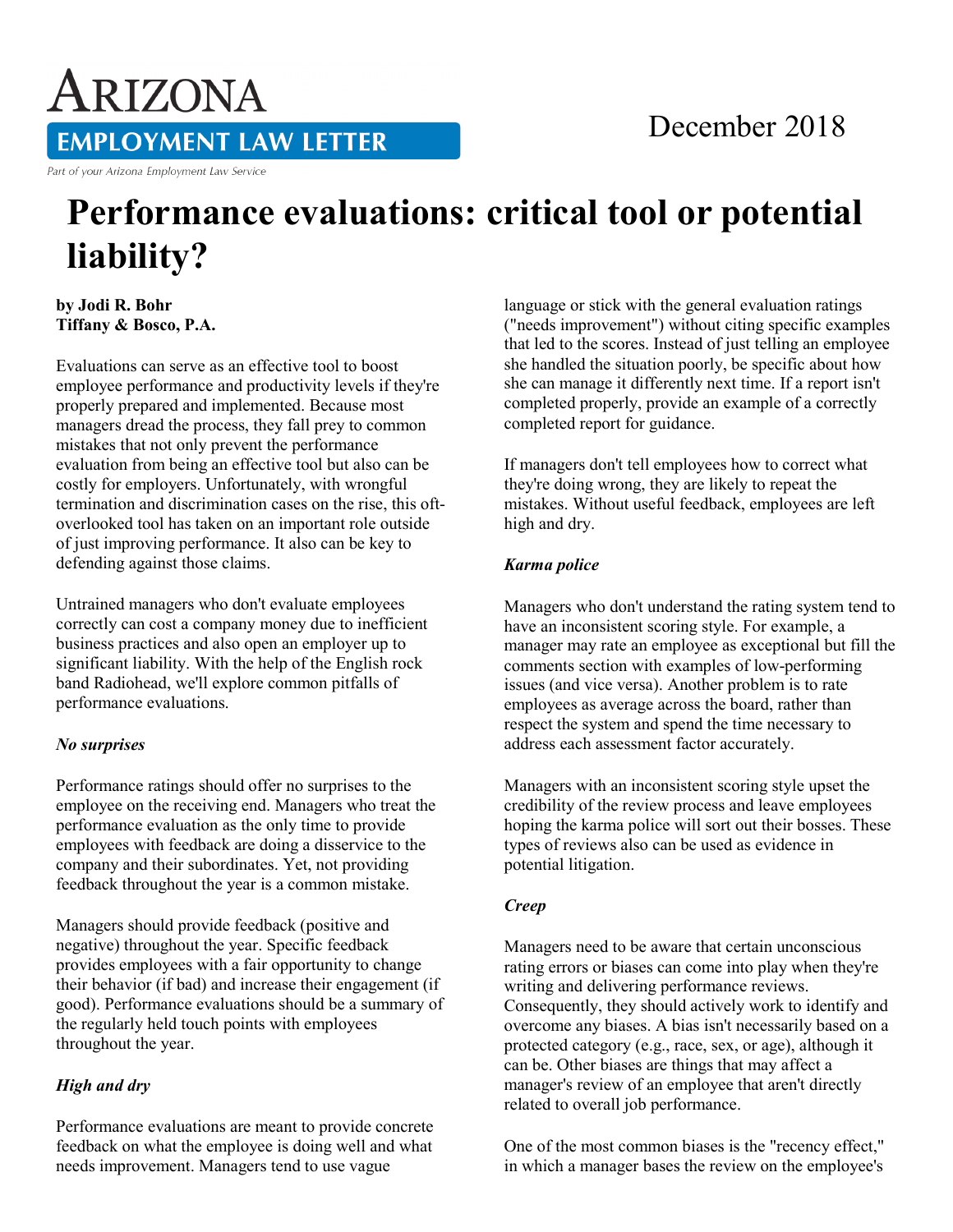# December 2018

**EMPLOYMENT LAW LETTER** 

Part of your Arizona Employment Law Service

ARIZONA

# **Performance evaluations: critical tool or potential liability?**

**by Jodi R. Bohr Tiffany & Bosco, P.A.** 

Evaluations can serve as an effective tool to boost employee performance and productivity levels if they're properly prepared and implemented. Because most managers dread the process, they fall prey to common mistakes that not only prevent the performance evaluation from being an effective tool but also can be costly for employers. Unfortunately, with wrongful termination and discrimination cases on the rise, this oftoverlooked tool has taken on an important role outside of just improving performance. It also can be key to defending against those claims.

Untrained managers who don't evaluate employees correctly can cost a company money due to inefficient business practices and also open an employer up to significant liability. With the help of the English rock band Radiohead, we'll explore common pitfalls of performance evaluations.

### *No surprises*

Performance ratings should offer no surprises to the employee on the receiving end. Managers who treat the performance evaluation as the only time to provide employees with feedback are doing a disservice to the company and their subordinates. Yet, not providing feedback throughout the year is a common mistake.

Managers should provide feedback (positive and negative) throughout the year. Specific feedback provides employees with a fair opportunity to change their behavior (if bad) and increase their engagement (if good). Performance evaluations should be a summary of the regularly held touch points with employees throughout the year.

# *High and dry*

Performance evaluations are meant to provide concrete feedback on what the employee is doing well and what needs improvement. Managers tend to use vague

language or stick with the general evaluation ratings ("needs improvement") without citing specific examples that led to the scores. Instead of just telling an employee she handled the situation poorly, be specific about how she can manage it differently next time. If a report isn't completed properly, provide an example of a correctly completed report for guidance.

If managers don't tell employees how to correct what they're doing wrong, they are likely to repeat the mistakes. Without useful feedback, employees are left high and dry.

## *Karma police*

Managers who don't understand the rating system tend to have an inconsistent scoring style. For example, a manager may rate an employee as exceptional but fill the comments section with examples of low-performing issues (and vice versa). Another problem is to rate employees as average across the board, rather than respect the system and spend the time necessary to address each assessment factor accurately.

Managers with an inconsistent scoring style upset the credibility of the review process and leave employees hoping the karma police will sort out their bosses. These types of reviews also can be used as evidence in potential litigation.

### *Creep*

Managers need to be aware that certain unconscious rating errors or biases can come into play when they're writing and delivering performance reviews. Consequently, they should actively work to identify and overcome any biases. A bias isn't necessarily based on a protected category (e.g., race, sex, or age), although it can be. Other biases are things that may affect a manager's review of an employee that aren't directly related to overall job performance.

One of the most common biases is the "recency effect," in which a manager bases the review on the employee's